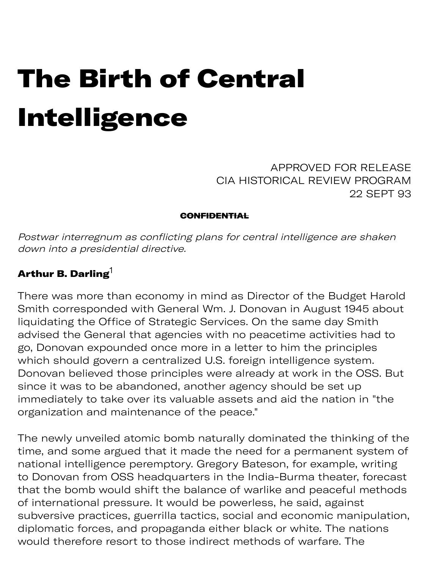# The Birth of Central Intelligence

APPROVED FOR RELEASE CIA HISTORICAL REVIEW PROGRAM 22 SEPT 93

#### **CONFIDENTIAL**

Postwar interregnum as conflicting plans for central intelligence are shaken down into a presidential directive.

#### Arthur B. Darling $1$

There was more than economy in mind as Director of the Budget Harold Smith corresponded with General Wm. J. Donovan in August 1945 about liquidating the Office of Strategic Services. On the same day Smith advised the General that agencies with no peacetime activities had to go, Donovan expounded once more in a letter to him the principles which should govern a centralized U.S. foreign intelligence system. Donovan believed those principles were already at work in the OSS. But since it was to be abandoned, another agency should be set up immediately to take over its valuable assets and aid the nation in "the organization and maintenance of the peace."

The newly unveiled atomic bomb naturally dominated the thinking of the time, and some argued that it made the need for a permanent system of national intelligence peremptory. Gregory Bateson, for example, writing to Donovan from OSS headquarters in the India-Burma theater, forecast that the bomb would shift the balance of warlike and peaceful methods of international pressure. It would be powerless, he said, against subversive practices, guerrilla tactics, social and economic manipulation, diplomatic forces, and propaganda either black or white. The nations would therefore resort to those indirect methods of warfare. The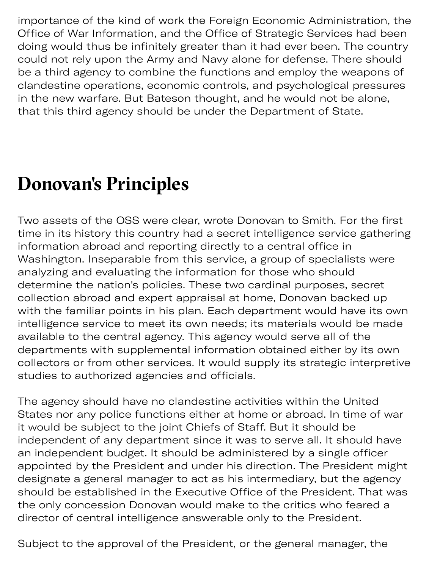importance of the kind of work the Foreign Economic Administration, the Office of War Information, and the Office of Strategic Services had been doing would thus be infinitely greater than it had ever been. The country could not rely upon the Army and Navy alone for defense. There should be a third agency to combine the functions and employ the weapons of clandestine operations, economic controls, and psychological pressures in the new warfare. But Bateson thought, and he would not be alone, that this third agency should be under the Department of State.

### **Donovan's Principles**

Two assets of the OSS were clear, wrote Donovan to Smith. For the first time in its history this country had a secret intelligence service gathering information abroad and reporting directly to a central office in Washington. Inseparable from this service, a group of specialists were analyzing and evaluating the information for those who should determine the nation's policies. These two cardinal purposes, secret collection abroad and expert appraisal at home, Donovan backed up with the familiar points in his plan. Each department would have its own intelligence service to meet its own needs; its materials would be made available to the central agency. This agency would serve all of the departments with supplemental information obtained either by its own collectors or from other services. It would supply its strategic interpretive studies to authorized agencies and officials.

The agency should have no clandestine activities within the United States nor any police functions either at home or abroad. In time of war it would be subject to the joint Chiefs of Staff. But it should be independent of any department since it was to serve all. It should have an independent budget. It should be administered by a single officer appointed by the President and under his direction. The President might designate a general manager to act as his intermediary, but the agency should be established in the Executive Office of the President. That was the only concession Donovan would make to the critics who feared a director of central intelligence answerable only to the President.

Subject to the approval of the President, or the general manager, the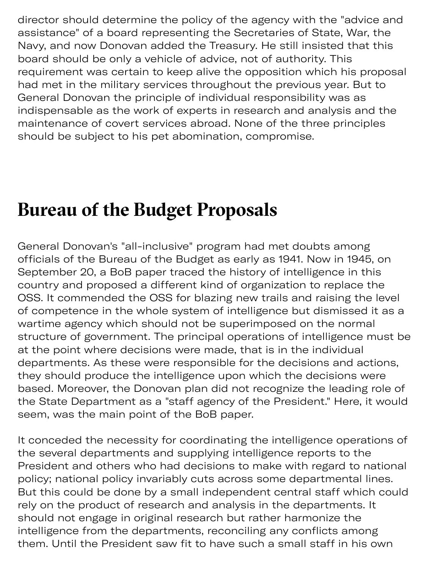director should determine the policy of the agency with the "advice and assistance" of a board representing the Secretaries of State, War, the Navy, and now Donovan added the Treasury. He still insisted that this board should be only a vehicle of advice, not of authority. This requirement was certain to keep alive the opposition which his proposal had met in the military services throughout the previous year. But to General Donovan the principle of individual responsibility was as indispensable as the work of experts in research and analysis and the maintenance of covert services abroad. None of the three principles should be subject to his pet abomination, compromise.

#### **Bureau of the Budget Proposals**

General Donovan's "all-inclusive" program had met doubts among officials of the Bureau of the Budget as early as 1941. Now in 1945, on September 20, a BoB paper traced the history of intelligence in this country and proposed a different kind of organization to replace the OSS. It commended the OSS for blazing new trails and raising the level of competence in the whole system of intelligence but dismissed it as a wartime agency which should not be superimposed on the normal structure of government. The principal operations of intelligence must be at the point where decisions were made, that is in the individual departments. As these were responsible for the decisions and actions, they should produce the intelligence upon which the decisions were based. Moreover, the Donovan plan did not recognize the leading role of the State Department as a "staff agency of the President." Here, it would seem, was the main point of the BoB paper.

It conceded the necessity for coordinating the intelligence operations of the several departments and supplying intelligence reports to the President and others who had decisions to make with regard to national policy; national policy invariably cuts across some departmental lines. But this could be done by a small independent central staff which could rely on the product of research and analysis in the departments. It should not engage in original research but rather harmonize the intelligence from the departments, reconciling any conflicts among them. Until the President saw fit to have such a small staff in his own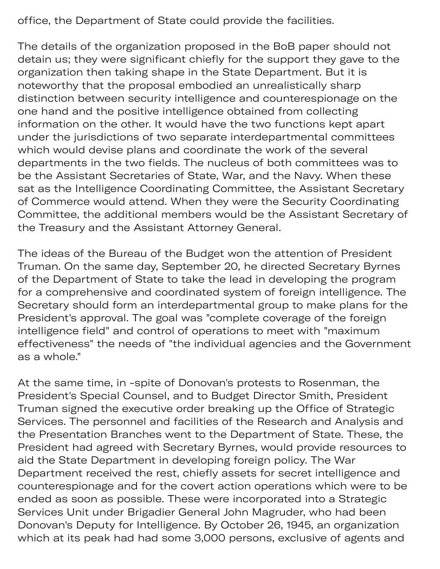office, the Department of State could provide the facilities.

The details of the organization proposed in the BoB paper should not detain us; they were significant chiefly for the support they gave to the organization then taking shape in the State Department. But it is noteworthy that the proposal embodied an unrealistically sharp distinction between security intelligence and counterespionage on the one hand and the positive intelligence obtained from collecting information on the other. It would have the two functions kept apart under the jurisdictions of two separate interdepartmental committees which would devise plans and coordinate the work of the several departments in the two fields. The nucleus of both committees was to be the Assistant Secretaries of State, War, and the Navy. When these sat as the Intelligence Coordinating Committee, the Assistant Secretary of Commerce would attend. When they were the Security Coordinating Committee, the additional members would be the Assistant Secretary of the Treasury and the Assistant Attorney General.

The ideas of the Bureau of the Budget won the attention of President Truman. On the same day, September 20, he directed Secretary Byrnes of the Department of State to take the lead in developing the program for a comprehensive and coordinated system of foreign intelligence. The Secretary should form an interdepartmental group to make plans for the President's approval. The goal was "complete coverage of the foreign intelligence field" and control of operations to meet with "maximum effectiveness" the needs of "the individual agencies and the Government as a whole."

At the same time, in -spite of Donovan's protests to Rosenman, the President's Special Counsel, and to Budget Director Smith, President Truman signed the executive order breaking up the Office of Strategic Services. The personnel and facilities of the Research and Analysis and the Presentation Branches went to the Department of State. These, the President had agreed with Secretary Byrnes, would provide resources to aid the State Department in developing foreign policy. The War Department received the rest, chiefly assets for secret intelligence and counterespionage and for the covert action operations which were to be ended as soon as possible. These were incorporated into a Strategic Services Unit under Brigadier General John Magruder, who had been Donovan's Deputy for Intelligence. By October 26, 1945, an organization which at its peak had had some 3,000 persons, exclusive of agents and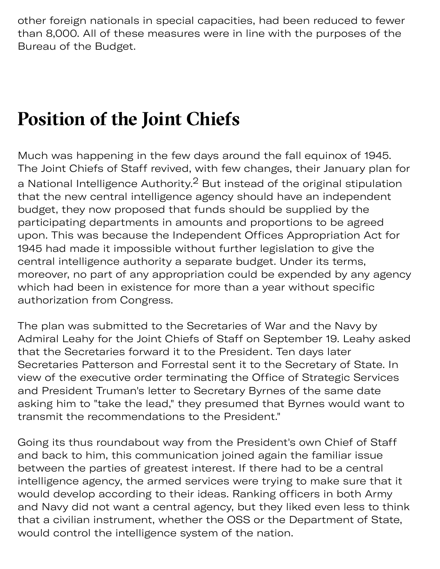other foreign nationals in special capacities, had been reduced to fewer than 8,000. All of these measures were in line with the purposes of the Bureau of the Budget.

which at its peak had had some 3,000 persons, exclusive of agents and

### **Position of the Joint Chiefs**

Much was happening in the few days around the fall equinox of 1945. The Joint Chiefs of Staff revived, with few changes, their January plan for a National Intelligence Authority. $2$  But instead of the original stipulation that the new central intelligence agency should have an independent budget, they now proposed that funds should be supplied by the participating departments in amounts and proportions to be agreed upon. This was because the Independent Offices Appropriation Act for 1945 had made it impossible without further legislation to give the central intelligence authority a separate budget. Under its terms, moreover, no part of any appropriation could be expended by any agency which had been in existence for more than a year without specific authorization from Congress.

The plan was submitted to the Secretaries of War and the Navy by Admiral Leahy for the Joint Chiefs of Staff on September 19. Leahy asked that the Secretaries forward it to the President. Ten days later Secretaries Patterson and Forrestal sent it to the Secretary of State. In view of the executive order terminating the Office of Strategic Services and President Truman's letter to Secretary Byrnes of the same date asking him to "take the lead," they presumed that Byrnes would want to transmit the recommendations to the President."

Going its thus roundabout way from the President's own Chief of Staff and back to him, this communication joined again the familiar issue between the parties of greatest interest. If there had to be a central intelligence agency, the armed services were trying to make sure that it would develop according to their ideas. Ranking officers in both Army and Navy did not want a central agency, but they liked even less to think that a civilian instrument, whether the OSS or the Department of State, would control the intelligence system of the nation.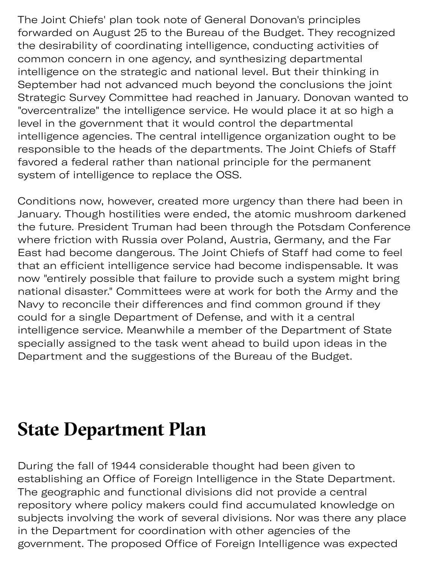The Joint Chiefs' plan took note of General Donovan's principles forwarded on August 25 to the Bureau of the Budget. They recognized the desirability of coordinating intelligence, conducting activities of common concern in one agency, and synthesizing departmental intelligence on the strategic and national level. But their thinking in September had not advanced much beyond the conclusions the joint Strategic Survey Committee had reached in January. Donovan wanted to "overcentralize" the intelligence service. He would place it at so high a level in the government that it would control the departmental intelligence agencies. The central intelligence organization ought to be responsible to the heads of the departments. The Joint Chiefs of Staff favored a federal rather than national principle for the permanent system of intelligence to replace the OSS.

Conditions now, however, created more urgency than there had been in January. Though hostilities were ended, the atomic mushroom darkened the future. President Truman had been through the Potsdam Conference where friction with Russia over Poland, Austria, Germany, and the Far East had become dangerous. The Joint Chiefs of Staff had come to feel that an efficient intelligence service had become indispensable. It was now "entirely possible that failure to provide such a system might bring national disaster." Committees were at work for both the Army and the Navy to reconcile their differences and find common ground if they could for a single Department of Defense, and with it a central intelligence service. Meanwhile a member of the Department of State specially assigned to the task went ahead to build upon ideas in the Department and the suggestions of the Bureau of the Budget.

#### **State Department Plan**

During the fall of 1944 considerable thought had been given to establishing an Office of Foreign Intelligence in the State Department. The geographic and functional divisions did not provide a central repository where policy makers could find accumulated knowledge on subjects involving the work of several divisions. Nor was there any place in the Department for coordination with other agencies of the government. The proposed Office of Foreign Intelligence was expected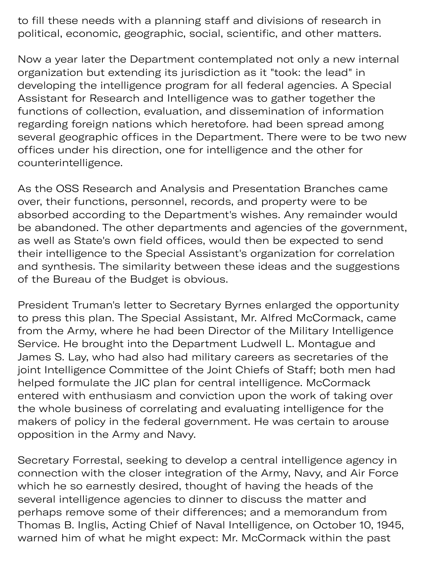government. The proposed  $\mathcal{L}_{\mathcal{F}}$  of  $\mathcal{L}_{\mathcal{F}}$  is expected of  $\mathcal{L}_{\mathcal{F}}$ to fill these needs with a planning staff and divisions of research in political, economic, geographic, social, scientific, and other matters.

Now a year later the Department contemplated not only a new internal organization but extending its jurisdiction as it "took: the lead" in developing the intelligence program for all federal agencies. A Special Assistant for Research and Intelligence was to gather together the functions of collection, evaluation, and dissemination of information regarding foreign nations which heretofore. had been spread among several geographic offices in the Department. There were to be two new offices under his direction, one for intelligence and the other for counterintelligence.

As the OSS Research and Analysis and Presentation Branches came over, their functions, personnel, records, and property were to be absorbed according to the Department's wishes. Any remainder would be abandoned. The other departments and agencies of the government, as well as State's own field offices, would then be expected to send their intelligence to the Special Assistant's organization for correlation and synthesis. The similarity between these ideas and the suggestions of the Bureau of the Budget is obvious.

President Truman's letter to Secretary Byrnes enlarged the opportunity to press this plan. The Special Assistant, Mr. Alfred McCormack, came from the Army, where he had been Director of the Military Intelligence Service. He brought into the Department Ludwell L. Montague and James S. Lay, who had also had military careers as secretaries of the joint Intelligence Committee of the Joint Chiefs of Staff; both men had helped formulate the JIC plan for central intelligence. McCormack entered with enthusiasm and conviction upon the work of taking over the whole business of correlating and evaluating intelligence for the makers of policy in the federal government. He was certain to arouse opposition in the Army and Navy.

Secretary Forrestal, seeking to develop a central intelligence agency in connection with the closer integration of the Army, Navy, and Air Force which he so earnestly desired, thought of having the heads of the several intelligence agencies to dinner to discuss the matter and perhaps remove some of their differences; and a memorandum from Thomas B. Inglis, Acting Chief of Naval Intelligence, on October 10, 1945, warned him of what he might expect: Mr. McCormack within the past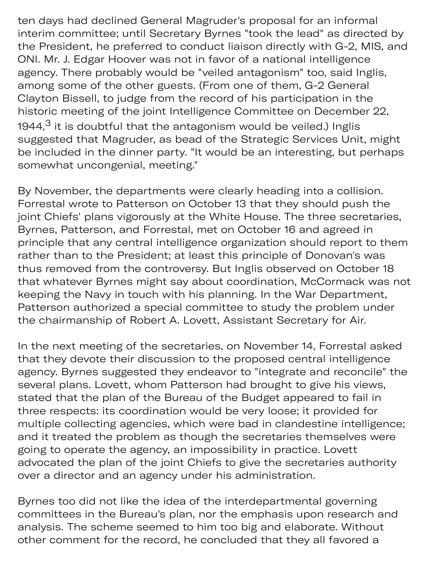ten days had declined General Magruder's proposal for an informal interim committee; until Secretary Byrnes "took the lead" as directed by the President, he preferred to conduct liaison directly with G-2, MIS, and ONI. Mr. J. Edgar Hoover was not in favor of a national intelligence agency. There probably would be "veiled antagonism" too, said Inglis, among some of the other guests. (From one of them, G-2 General Clayton Bissell, to judge from the record of his participation in the historic meeting of the joint Intelligence Committee on December 22, 1944, $^3$  it is doubtful that the antagonism would be veiled.) Inglis sugested that Magruder, as bead of the Strategic Services Unit, might be included in the dinner party. "It would be an interesting, but perhaps somewhat uncongenial, meeting."

warned him of what he might expect: Mr. McCormack within the past

By November, the departments were clearly heading into a collision. Forrestal wrote to Patterson on October 13 that they should push the joint Chiefs' plans vigorously at the White House. The three secretaries, Byrnes, Patterson, and Forrestal, met on October 16 and agreed in principle that any central intelligence organization should report to them rather than to the President; at least this principle of Donovan's was thus removed from the controversy. But Inglis observed on October 18 that whatever Byrnes might say about coordination, McCormack was not keeping the Navy in touch with his planning. In the War Department, Patterson authorized a special committee to study the problem under the chairmanship of Robert A. Lovett, Assistant Secretary for Air.

In the next meeting of the secretaries, on November 14, Forrestal asked that they devote their discussion to the proposed central intelligence agency. Byrnes suggested they endeavor to "integrate and reconcile" the several plans. Lovett, whom Patterson had brought to give his views, stated that the plan of the Bureau of the Budget appeared to fail in three respects: its coordination would be very loose; it provided for multiple collecting agencies, which were bad in clandestine intelligence; and it treated the problem as though the secretaries themselves were going to operate the agency, an impossibility in practice. Lovett advocated the plan of the joint Chiefs to give the secretaries authority over a director and an agency under his administration.

Byrnes too did not like the idea of the interdepartmental governing committees in the Bureau's plan, nor the emphasis upon research and analysis. The scheme seemed to him too big and elaborate. Without other comment for the record, he concluded that they all favored a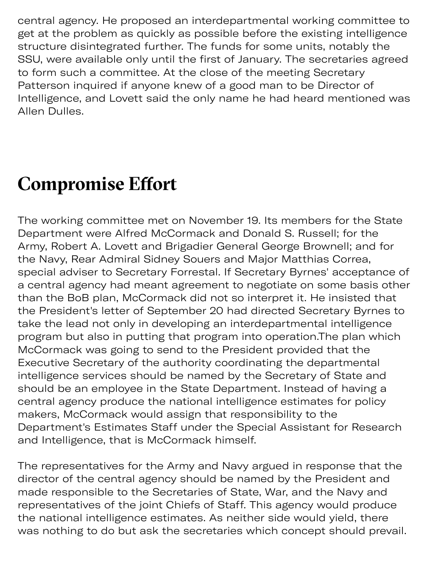central agency. He proposed an interdepartmental working committee to get at the problem as quickly as possible before the existing intelligence structure disintegrated further. The funds for some units, notably the SSU, were available only until the first of January. The secretaries agreed to form such a committee. At the close of the meeting Secretary Patterson inquired if anyone knew of a good man to be Director of Intelligence, and Lovett said the only name he had heard mentioned was Allen Dulles.

other comment for the record, he comment for the record, he concluded that they all favored all favored all favored at the second, he concluded that they all favored at the second, he concluded that they all favored at th

## **Compromise Efort**

The working committee met on November 19. Its members for the State Department were Alfred McCormack and Donald S. Russell; for the Army, Robert A. Lovett and Brigadier General George Brownell; and for the Navy, Rear Admiral Sidney Souers and Major Matthias Correa, special adviser to Secretary Forrestal. If Secretary Byrnes' acceptance of a central agency had meant agreement to negotiate on some basis other than the BoB plan, McCormack did not so interpret it. He insisted that the President's letter of September 20 had directed Secretary Byrnes to take the lead not only in developing an interdepartmental intelligence program but also in putting that program into operation.The plan which McCormack was going to send to the President provided that the Executive Secretary of the authority coordinating the departmental intelligence services should be named by the Secretary of State and should be an employee in the State Department. Instead of having a central agency produce the national intelligence estimates for policy makers, McCormack would assign that responsibility to the Department's Estimates Staff under the Special Assistant for Research and Intelligence, that is McCormack himself.

The representatives for the Army and Navy argued in response that the director of the central agency should be named by the President and made responsible to the Secretaries of State, War, and the Navy and representatives of the joint Chiefs of Staff. This agency would produce the national intelligence estimates. As neither side would yield, there was nothing to do but ask the secretaries which concept should prevail.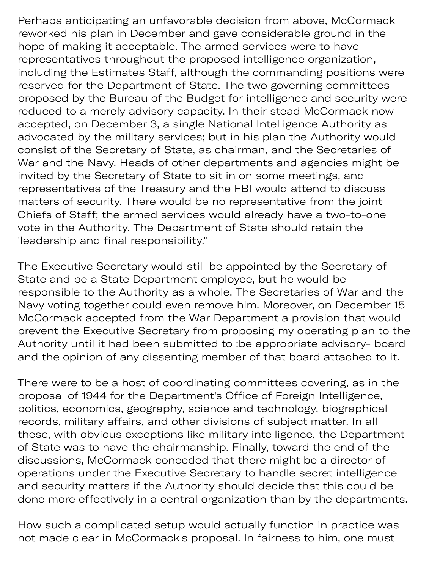Perhaps anticipating an unfavorable decision from above, McCormack reworked his plan in December and gave considerable ground in the hope of making it acceptable. The armed services were to have representatives throughout the proposed intelligence organization, including the Estimates Staff, although the commanding positions were reserved for the Department of State. The two governing committees proposed by the Bureau of the Budget for intelligence and security were reduced to a merely advisory capacity. In their stead McCormack now accepted, on December 3, a single National Intelligence Authority as advocated by the military services; but in his plan the Authority would consist of the Secretary of State, as chairman, and the Secretaries of War and the Navy. Heads of other departments and agencies might be invited by the Secretary of State to sit in on some meetings, and representatives of the Treasury and the FBI would attend to discuss matters of security. There would be no representative from the joint Chiefs of Staff; the armed services would already have a two-to-one vote in the Authority. The Department of State should retain the 'leadership and final responsibility."

The Executive Secretary would still be appointed by the Secretary of State and be a State Department employee, but he would be responsible to the Authority as a whole. The Secretaries of War and the Navy voting together could even remove him. Moreover, on December 15 McCormack accepted from the War Department a provision that would prevent the Executive Secretary from proposing my operating plan to the Authority until it had been submitted to :be appropriate advisory- board and the opinion of any dissenting member of that board attached to it.

There were to be a host of coordinating committees covering, as in the proposal of 1944 for the Department's Office of Foreign Intelligence, politics, economics, geography, science and technology, biographical records, military affairs, and other divisions of subject matter. In all these, with obvious exceptions like military intelligence, the Department of State was to have the chairmanship. Finally, toward the end of the discussions, McCormack conceded that there might be a director of operations under the Executive Secretary to handle secret intelligence and security matters if the Authority should decide that this could be done more effectively in a central organization than by the departments.

How such a complicated setup would actually function in practice was not made clear in McCormack's proposal. In fairness to him, one must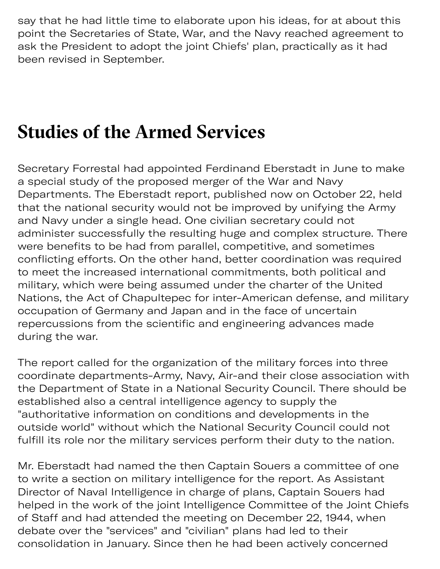say that he had little time to elaborate upon his ideas, for at about this point the Secretaries of State, War, and the Navy reached agreement to ask the President to adopt the joint Chiefs' plan, practically as it had been revised in September.

not made clear in McCormack's proposal. In fairness to him, one must

#### **Studies of the Armed Services**

Secretary Forrestal had appointed Ferdinand Eberstadt in June to make a special study of the proposed merger of the War and Navy Departments. The Eberstadt report, published now on October 22, held that the national security would not be improved by unifying the Army and Navy under a single head. One civilian secretary could not administer successfully the resulting huge and complex structure. There were benefits to be had from parallel, competitive, and sometimes conflicting efforts. On the other hand, better coordination was required to meet the increased international commitments, both political and military, which were being assumed under the charter of the United Nations, the Act of Chapultepec for inter-American defense, and military occupation of Germany and Japan and in the face of uncertain repercussions from the scientific and engineering advances made during the war.

The report called for the organization of the military forces into three coordinate departments-Army, Navy, Air-and their close association with the Department of State in a National Security Council. There should be established also a central intelligence agency to supply the "authoritative information on conditions and developments in the outside world" without which the National Security Council could not fulfill its role nor the military services perform their duty to the nation.

Mr. Eberstadt had named the then Captain Souers a committee of one to write a section on military intelligence for the report. As Assistant Director of Naval Intelligence in charge of plans, Captain Souers had helped in the work of the joint Intelligence Committee of the Joint Chiefs of Staff and had attended the meeting on December 22, 1944, when debate over the "services" and "civilian" plans had led to their consolidation in January. Since then he had been actively concerned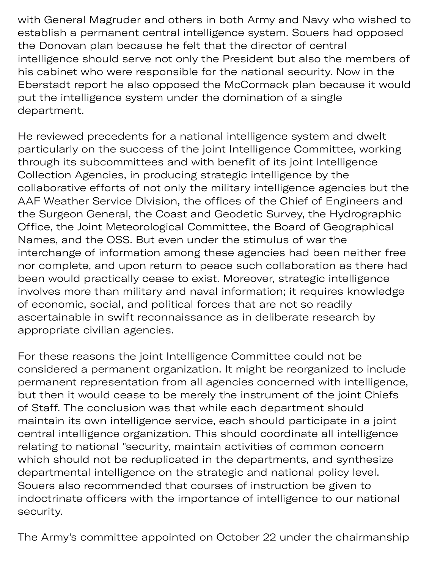with General Magruder and others in both Army and Navy who wished to establish a permanent central intelligence system. Souers had opposed the Donovan plan because he felt that the director of central intelligence should serve not only the President but also the members of his cabinet who were responsible for the national security. Now in the Eberstadt report he also opposed the McCormack plan because it would put the intelligence system under the domination of a single department.

He reviewed precedents for a national intelligence system and dwelt particularly on the success of the joint Intelligence Committee, working through its subcommittees and with benefit of its joint Intelligence Collection Agencies, in producing strategic intelligence by the collaborative efforts of not only the military intelligence agencies but the AAF Weather Service Division, the offices of the Chief of Engineers and the Surgeon General, the Coast and Geodetic Survey, the Hydrographic Office, the Joint Meteorological Committee, the Board of Geographical Names, and the OSS. But even under the stimulus of war the interchange of information among these agencies had been neither free nor complete, and upon return to peace such collaboration as there had been would practically cease to exist. Moreover, strategic intelligence involves more than military and naval information; it requires knowledge of economic, social, and political forces that are not so readily ascertainable in swift reconnaissance as in deliberate research by appropriate civilian agencies.

For these reasons the joint Intelligence Committee could not be considered a permanent organization. It might be reorganized to include permanent representation from all agencies concerned with intelligence, but then it would cease to be merely the instrument of the joint Chiefs of Staff. The conclusion was that while each department should maintain its own intelligence service, each should participate in a joint central intelligence organization. This should coordinate all intelligence relating to national "security, maintain activities of common concern which should not be reduplicated in the departments, and synthesize departmental intelligence on the strategic and national policy level. Souers also recommended that courses of instruction be given to indoctrinate officers with the importance of intelligence to our national security.

The Army's committee appointed on October 22 under the chairmanship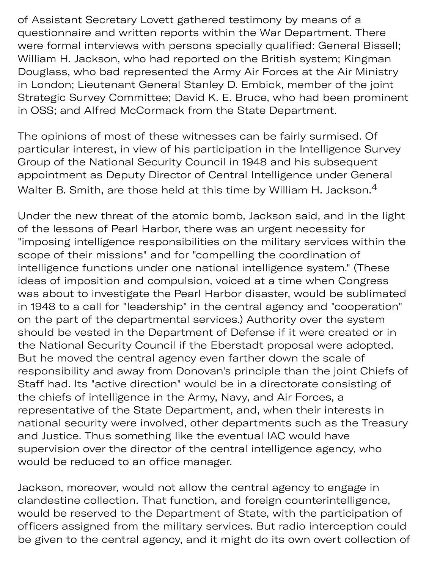of Assistant Secretary Lovett gathered testimony by means of a questionnaire and written reports within the War Department. There were formal interviews with persons specially qualified: General Bissell; William H. Jackson, who had reported on the British system; Kingman Douglass, who bad represented the Army Air Forces at the Air Ministry in London; Lieutenant General Stanley D. Embick, member of the joint Strategic Survey Committee; David K. E. Bruce, who had been prominent in OSS; and Alfred McCormack from the State Department.

The opinions of most of these witnesses can be fairly surmised. Of particular interest, in view of his participation in the Intelligence Survey Group of the National Security Council in 1948 and his subsequent appointment as Deputy Director of Central Intelligence under General Walter B. Smith, are those held at this time by William H. Jackson.<sup>4</sup>

Under the new threat of the atomic bomb, Jackson said, and in the light of the lessons of Pearl Harbor, there was an urgent necessity for "imposing intelligence responsibilities on the military services within the scope of their missions" and for "compelling the coordination of intelligence functions under one national intelligence system." (These ideas of imposition and compulsion, voiced at a time when Congress was about to investigate the Pearl Harbor disaster, would be sublimated in 1948 to a call for "leadership" in the central agency and "cooperation" on the part of the departmental services.) Authority over the system should be vested in the Department of Defense if it were created or in the National Security Council if the Eberstadt proposal were adopted. But he moved the central agency even farther down the scale of responsibility and away from Donovan's principle than the joint Chiefs of Staff had. Its "active direction" would be in a directorate consisting of the chiefs of intelligence in the Army, Navy, and Air Forces, a representative of the State Department, and, when their interests in national security were involved, other departments such as the Treasury and Justice. Thus something like the eventual IAC would have supervision over the director of the central intelligence agency, who would be reduced to an office manager.

Jackson, moreover, would not allow the central agency to engage in clandestine collection. That function, and foreign counterintelligence, would be reserved to the Department of State, with the participation of officers assigned from the military services. But radio interception could be given to the central agency, and it might do its own overt collection of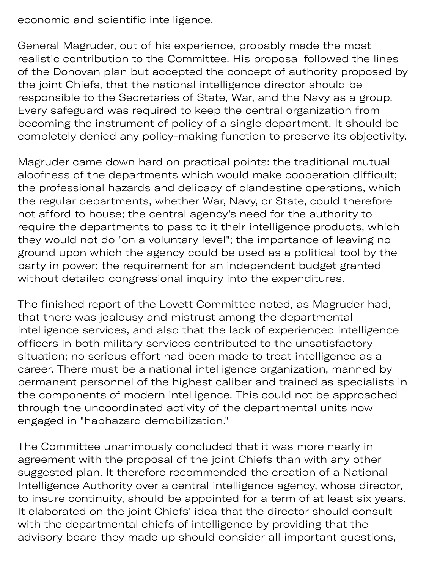economic and scientific intelligence.

General Magruder, out of his experience, probably made the most realistic contribution to the Committee. His proposal followed the lines of the Donovan plan but accepted the concept of authority proposed by the joint Chiefs, that the national intelligence director should be responsible to the Secretaries of State, War, and the Navy as a group. Every safeguard was required to keep the central organization from becoming the instrument of policy of a single department. It should be completely denied any policy-making function to preserve its objectivity.

Magruder came down hard on practical points: the traditional mutual aloofness of the departments which would make cooperation difficult; the professional hazards and delicacy of clandestine operations, which the regular departments, whether War, Navy, or State, could therefore not afford to house; the central agency's need for the authority to require the departments to pass to it their intelligence products, which they would not do "on a voluntary level"; the importance of leaving no ground upon which the agency could be used as a political tool by the party in power; the requirement for an independent budget granted without detailed congressional inquiry into the expenditures.

The finished report of the Lovett Committee noted, as Magruder had, that there was jealousy and mistrust among the departmental intelligence services, and also that the lack of experienced intelligence officers in both military services contributed to the unsatisfactory situation; no serious effort had been made to treat intelligence as a career. There must be a national intelligence organization, manned by permanent personnel of the highest caliber and trained as specialists in the components of modern intelligence. This could not be approached through the uncoordinated activity of the departmental units now engaged in "haphazard demobilization."

The Committee unanimously concluded that it was more nearly in agreement with the proposal of the joint Chiefs than with any other sugested plan. It therefore recommended the creation of a National Intelligence Authority over a central intelligence agency, whose director, to insure continuity, should be appointed for a term of at least six years. It elaborated on the joint Chiefs' idea that the director should consult with the departmental chiefs of intelligence by providing that the advisory board they made up should consider all important questions,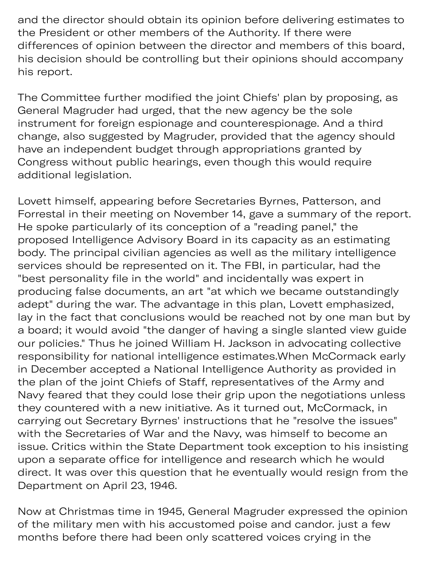and the director should obtain its opinion before delivering estimates to the President or other members of the Authority. If there were differences of opinion between the director and members of this board, his decision should be controlling but their opinions should accompany his report.

The Committee further modified the joint Chiefs' plan by proposing, as General Magruder had urged, that the new agency be the sole instrument for foreign espionage and counterespionage. And a third change, also suggested by Magruder, provided that the agency should have an independent budget through appropriations granted by Congress without public hearings, even though this would require additional legislation.

Lovett himself, appearing before Secretaries Byrnes, Patterson, and Forrestal in their meeting on November 14, gave a summary of the report. He spoke particularly of its conception of a "reading panel," the proposed Intelligence Advisory Board in its capacity as an estimating body. The principal civilian agencies as well as the military intelligence services should be represented on it. The FBI, in particular, had the "best personality file in the world" and incidentally was expert in producing false documents, an art "at which we became outstandingly adept" during the war. The advantage in this plan, Lovett emphasized, lay in the fact that conclusions would be reached not by one man but by a board; it would avoid "the danger of having a single slanted view guide our policies." Thus he joined William H. Jackson in advocating collective responsibility for national intelligence estimates.When McCormack early in December accepted a National Intelligence Authority as provided in the plan of the joint Chiefs of Staff, representatives of the Army and Navy feared that they could lose their grip upon the negotiations unless they countered with a new initiative. As it turned out, McCormack, in carrying out Secretary Byrnes' instructions that he "resolve the issues" with the Secretaries of War and the Navy, was himself to become an issue. Critics within the State Department took exception to his insisting upon a separate office for intelligence and research which he would direct. It was over this question that he eventually would resign from the Department on April 23, 1946.

Now at Christmas time in 1945, General Magruder expressed the opinion of the military men with his accustomed poise and candor. just a few months before there had been only scattered voices crying in the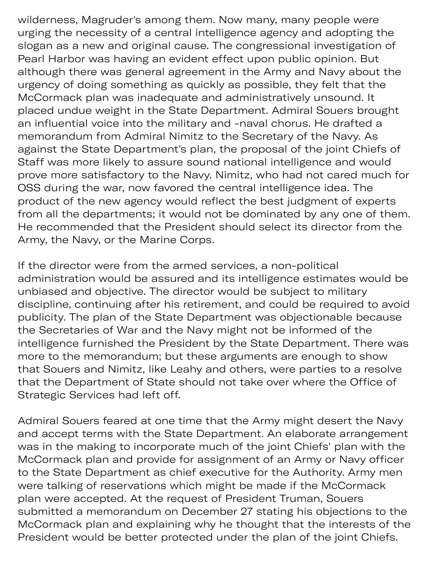wilderness, Magruder's among them. Now many, many people were urging the necessity of a central intelligence agency and adopting the slogan as a new and original cause. The congressional investigation of Pearl Harbor was having an evident effect upon public opinion. But although there was general agreement in the Army and Navy about the urgency of doing something as quickly as possible, they felt that the McCormack plan was inadequate and administratively unsound. It placed undue weight in the State Department. Admiral Souers brought an influential voice into the military and -naval chorus. He drafted a memorandum from Admiral Nimitz to the Secretary of the Navy. As against the State Department's plan, the proposal of the joint Chiefs of Staff was more likely to assure sound national intelligence and would prove more satisfactory to the Navy. Nimitz, who had not cared much for OSS during the war, now favored the central intelligence idea. The product of the new agency would reflect the best judgment of experts from all the departments; it would not be dominated by any one of them. He recommended that the President should select its director from the Army, the Navy, or the Marine Corps.

If the director were from the armed services, a non-political administration would be assured and its intelligence estimates would be unbiased and objective. The director would be subject to military discipline, continuing after his retirement, and could be required to avoid publicity. The plan of the State Department was objectionable because the Secretaries of War and the Navy might not be informed of the intelligence furnished the President by the State Department. There was more to the memorandum; but these arguments are enough to show that Souers and Nimitz, like Leahy and others, were parties to a resolve that the Department of State should not take over where the Office of Strategic Services had left off.

Admiral Souers feared at one time that the Army might desert the Navy and accept terms with the State Department. An elaborate arrangement was in the making to incorporate much of the joint Chiefs' plan with the McCormack plan and provide for assignment of an Army or Navy officer to the State Department as chief executive for the Authority. Army men were talking of reservations which might be made if the McCormack plan were accepted. At the request of President Truman, Souers submitted a memorandum on December 27 stating his objections to the McCormack plan and explaining why he thought that the interests of the President would be better protected under the plan of the joint Chiefs.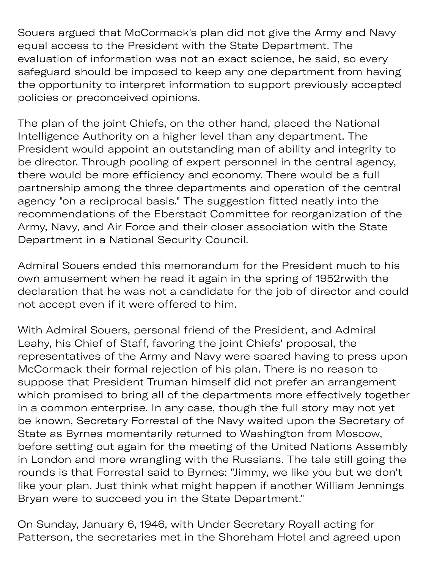Souers argued that McCormack's plan did not give the Army and Navy equal access to the President with the State Department. The evaluation of information was not an exact science, he said, so every safeguard should be imposed to keep any one department from having the opportunity to interpret information to support previously accepted policies or preconceived opinions.

The plan of the joint Chiefs, on the other hand, placed the National Intelligence Authority on a higher level than any department. The President would appoint an outstanding man of ability and integrity to be director. Through pooling of expert personnel in the central agency, there would be more efficiency and economy. There would be a full partnership among the three departments and operation of the central agency "on a reciprocal basis." The suggestion fitted neatly into the recommendations of the Eberstadt Committee for reorganization of the Army, Navy, and Air Force and their closer association with the State Department in a National Security Council.

Admiral Souers ended this memorandum for the President much to his own amusement when he read it again in the spring of 1952rwith the declaration that he was not a candidate for the job of director and could not accept even if it were offered to him.

With Admiral Souers, personal friend of the President, and Admiral Leahy, his Chief of Staff, favoring the joint Chiefs' proposal, the representatives of the Army and Navy were spared having to press upon McCormack their formal rejection of his plan. There is no reason to suppose that President Truman himself did not prefer an arrangement which promised to bring all of the departments more effectively together in a common enterprise. In any case, though the full story may not yet be known, Secretary Forrestal of the Navy waited upon the Secretary of State as Byrnes momentarily returned to Washington from Moscow, before setting out again for the meeting of the United Nations Assembly in London and more wrangling with the Russians. The tale still going the rounds is that Forrestal said to Byrnes: "Jimmy, we like you but we don't like your plan. Just think what might happen if another William Jennings Bryan were to succeed you in the State Department."

On Sunday, January 6, 1946, with Under Secretary Royall acting for Patterson, the secretaries met in the Shoreham Hotel and agreed upon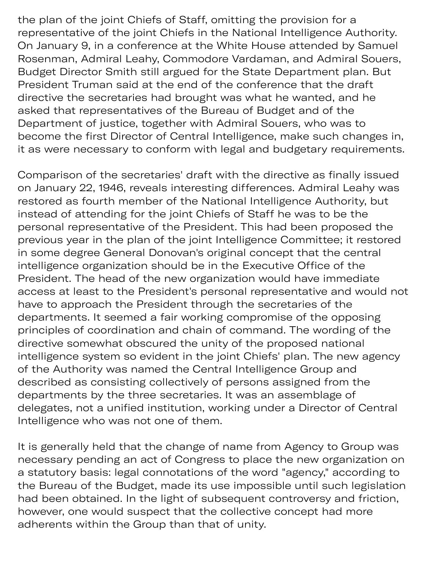the plan of the joint Chiefs of Staff, omitting the provision for a representative of the joint Chiefs in the National Intelligence Authority. On January 9, in a conference at the White House attended by Samuel Rosenman, Admiral Leahy, Commodore Vardaman, and Admiral Souers, Budget Director Smith still argued for the State Department plan. But President Truman said at the end of the conference that the draft directive the secretaries had brought was what he wanted, and he asked that representatives of the Bureau of Budget and of the Department of justice, together with Admiral Souers, who was to become the first Director of Central Intelligence, make such changes in, it as were necessary to conform with legal and budgetary requirements.

Comparison of the secretaries' draft with the directive as finally issued on January 22, 1946, reveals interesting differences. Admiral Leahy was restored as fourth member of the National Intelligence Authority, but instead of attending for the joint Chiefs of Staff he was to be the personal representative of the President. This had been proposed the previous year in the plan of the joint Intelligence Committee; it restored in some degree General Donovan's original concept that the central intelligence organization should be in the Executive Office of the President. The head of the new organization would have immediate access at least to the President's personal representative and would not have to approach the President through the secretaries of the departments. It seemed a fair working compromise of the opposing principles of coordination and chain of command. The wording of the directive somewhat obscured the unity of the proposed national intelligence system so evident in the joint Chiefs' plan. The new agency of the Authority was named the Central Intelligence Group and described as consisting collectively of persons assigned from the departments by the three secretaries. It was an assemblage of delegates, not a unified institution, working under a Director of Central Intelligence who was not one of them.

It is generally held that the change of name from Agency to Group was necessary pending an act of Congress to place the new organization on a statutory basis: legal connotations of the word "agency," according to the Bureau of the Budget, made its use impossible until such legislation had been obtained. In the light of subsequent controversy and friction, however, one would suspect that the collective concept had more adherents within the Group than that of unity.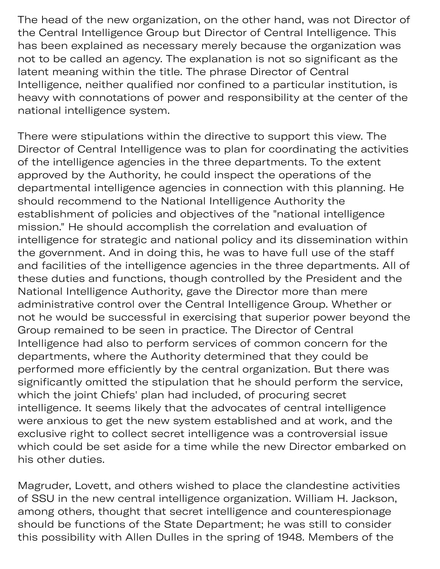The head of the new organization, on the other hand, was not Director of the Central Intelligence Group but Director of Central Intelligence. This has been explained as necessary merely because the organization was not to be called an agency. The explanation is not so significant as the latent meaning within the title. The phrase Director of Central Intelligence, neither qualified nor confined to a particular institution, is heavy with connotations of power and responsibility at the center of the national intelligence system.

There were stipulations within the directive to support this view. The Director of Central Intelligence was to plan for coordinating the activities of the intelligence agencies in the three departments. To the extent approved by the Authority, he could inspect the operations of the departmental intelligence agencies in connection with this planning. He should recommend to the National Intelligence Authority the establishment of policies and objectives of the "national intelligence mission." He should accomplish the correlation and evaluation of intelligence for strategic and national policy and its dissemination within the government. And in doing this, he was to have full use of the staff and facilities of the intelligence agencies in the three departments. All of these duties and functions, though controlled by the President and the National Intelligence Authority, gave the Director more than mere administrative control over the Central Intelligence Group. Whether or not he would be successful in exercising that superior power beyond the Group remained to be seen in practice. The Director of Central Intelligence had also to perform services of common concern for the departments, where the Authority determined that they could be performed more efficiently by the central organization. But there was significantly omitted the stipulation that he should perform the service, which the joint Chiefs' plan had included, of procuring secret intelligence. It seems likely that the advocates of central intelligence were anxious to get the new system established and at work, and the exclusive right to collect secret intelligence was a controversial issue which could be set aside for a time while the new Director embarked on his other duties.

Magruder, Lovett, and others wished to place the clandestine activities of SSU in the new central intelligence organization. William H. Jackson, among others, thought that secret intelligence and counterespionage should be functions of the State Department; he was still to consider this possibility with Allen Dulles in the spring of 1948. Members of the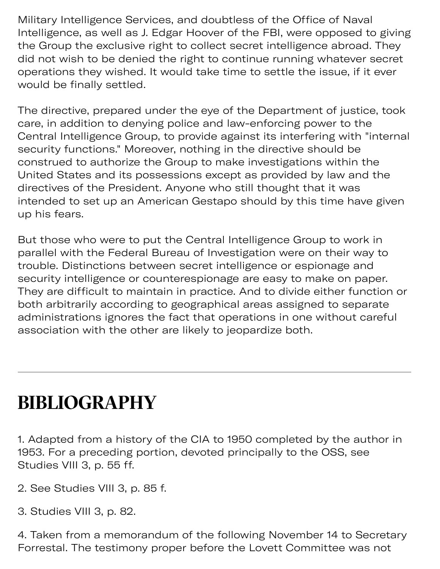Military Intelligence Services, and doubtless of the Office of Naval Intelligence, as well as J. Edgar Hoover of the FBI, were opposed to giving the Group the exclusive right to collect secret intelligence abroad. They did not wish to be denied the right to continue running whatever secret operations they wished. It would take time to settle the issue, if it ever would be finally settled.

The directive, prepared under the eye of the Department of justice, took care, in addition to denying police and law-enforcing power to the Central Intelligence Group, to provide against its interfering with "internal security functions." Moreover, nothing in the directive should be construed to authorize the Group to make investigations within the United States and its possessions except as provided by law and the directives of the President. Anyone who still thought that it was intended to set up an American Gestapo should by this time have given up his fears.

But those who were to put the Central Intelligence Group to work in parallel with the Federal Bureau of Investigation were on their way to trouble. Distinctions between secret intelligence or espionage and security intelligence or counterespionage are easy to make on paper. They are difficult to maintain in practice. And to divide either function or both arbitrarily according to geographical areas assigned to separate administrations ignores the fact that operations in one without careful association with the other are likely to jeopardize both.

#### **BIBLIOGRAPHY**

1. Adapted from a history of the CIA to 1950 completed by the author in 1953. For a preceding portion, devoted principally to the OSS, see Studies VIII 3, p. 55 ff.

- 2. See Studies VIII 3, p. 85 f.
- 3. Studies VIII 3, p. 82.

4. Taken from a memorandum of the following November 14 to Secretary Forrestal. The testimony proper before the Lovett Committee was not